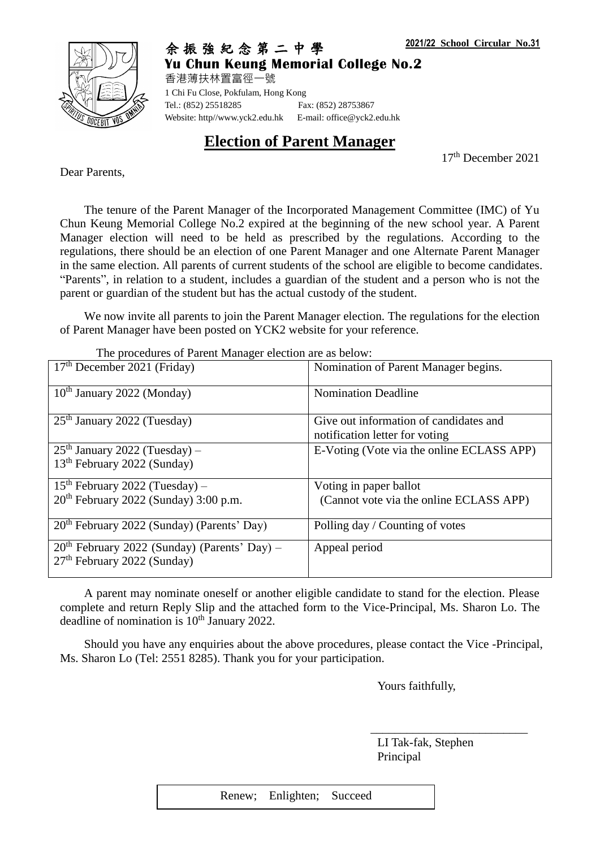

余 振 強 紀 念 第 二 中 學 **Yu Chun Keung Memorial College No.2**

香港薄扶林置富徑一號 1 Chi Fu Close, Pokfulam, Hong Kong Tel.: (852) 25518285 Fax: (852) 28753867 Website: http//www.yck2.edu.hk E-mail: office@yck2.edu.hk

**Election of Parent Manager**

17 th December 2021

Dear Parents,

The tenure of the Parent Manager of the Incorporated Management Committee (IMC) of Yu Chun Keung Memorial College No.2 expired at the beginning of the new school year. A Parent Manager election will need to be held as prescribed by the regulations. According to the regulations, there should be an election of one Parent Manager and one Alternate Parent Manager in the same election. All parents of current students of the school are eligible to become candidates. "Parents", in relation to a student, includes a guardian of the student and a person who is not the parent or guardian of the student but has the actual custody of the student.

We now invite all parents to join the Parent Manager election. The regulations for the election of Parent Manager have been posted on YCK2 website for your reference.

The procedures of Parent Manager election are as below:

| 17 <sup>th</sup> December 2021 (Friday)                                                   | Nomination of Parent Manager begins.                                     |  |
|-------------------------------------------------------------------------------------------|--------------------------------------------------------------------------|--|
| $10th$ January 2022 (Monday)                                                              | <b>Nomination Deadline</b>                                               |  |
| $25th$ January 2022 (Tuesday)                                                             | Give out information of candidates and<br>notification letter for voting |  |
| $25th$ January 2022 (Tuesday) –<br>13 <sup>th</sup> February 2022 (Sunday)                | E-Voting (Vote via the online ECLASS APP)                                |  |
| $15th$ February 2022 (Tuesday) –                                                          | Voting in paper ballot                                                   |  |
| 20 <sup>th</sup> February 2022 (Sunday) 3:00 p.m.                                         | (Cannot vote via the online ECLASS APP)                                  |  |
| 20 <sup>th</sup> February 2022 (Sunday) (Parents' Day)                                    | Polling day / Counting of votes                                          |  |
| $20th$ February 2022 (Sunday) (Parents' Day) –<br>27 <sup>th</sup> February 2022 (Sunday) | Appeal period                                                            |  |

A parent may nominate oneself or another eligible candidate to stand for the election. Please complete and return Reply Slip and the attached form to the Vice-Principal, Ms. Sharon Lo. The deadline of nomination is  $10<sup>th</sup>$  January 2022.

Should you have any enquiries about the above procedures, please contact the Vice -Principal, Ms. Sharon Lo (Tel: 2551 8285). Thank you for your participation.

Yours faithfully,

LI Tak-fak, Stephen Principal

\_\_\_\_\_\_\_\_\_\_\_\_\_\_\_\_\_\_\_\_\_\_\_\_\_\_

Renew; Enlighten; Succeed